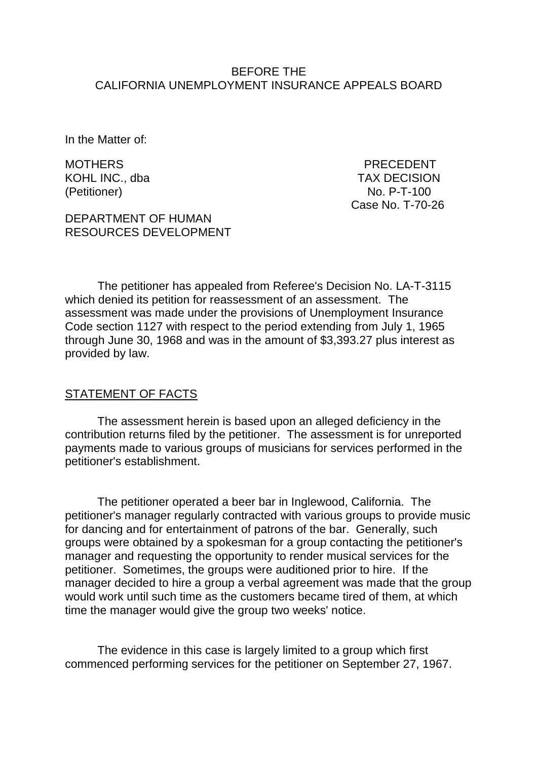#### BEFORE THE CALIFORNIA UNEMPLOYMENT INSURANCE APPEALS BOARD

In the Matter of:

(Petitioner) No. P-T-100

MOTHERS PRECEDENT KOHL INC., dba TAX DECISION Case No. T-70-26

DEPARTMENT OF HUMAN RESOURCES DEVELOPMENT

The petitioner has appealed from Referee's Decision No. LA-T-3115 which denied its petition for reassessment of an assessment. The assessment was made under the provisions of Unemployment Insurance Code section 1127 with respect to the period extending from July 1, 1965 through June 30, 1968 and was in the amount of \$3,393.27 plus interest as provided by law.

### STATEMENT OF FACTS

The assessment herein is based upon an alleged deficiency in the contribution returns filed by the petitioner. The assessment is for unreported payments made to various groups of musicians for services performed in the petitioner's establishment.

The petitioner operated a beer bar in Inglewood, California. The petitioner's manager regularly contracted with various groups to provide music for dancing and for entertainment of patrons of the bar. Generally, such groups were obtained by a spokesman for a group contacting the petitioner's manager and requesting the opportunity to render musical services for the petitioner. Sometimes, the groups were auditioned prior to hire. If the manager decided to hire a group a verbal agreement was made that the group would work until such time as the customers became tired of them, at which time the manager would give the group two weeks' notice.

The evidence in this case is largely limited to a group which first commenced performing services for the petitioner on September 27, 1967.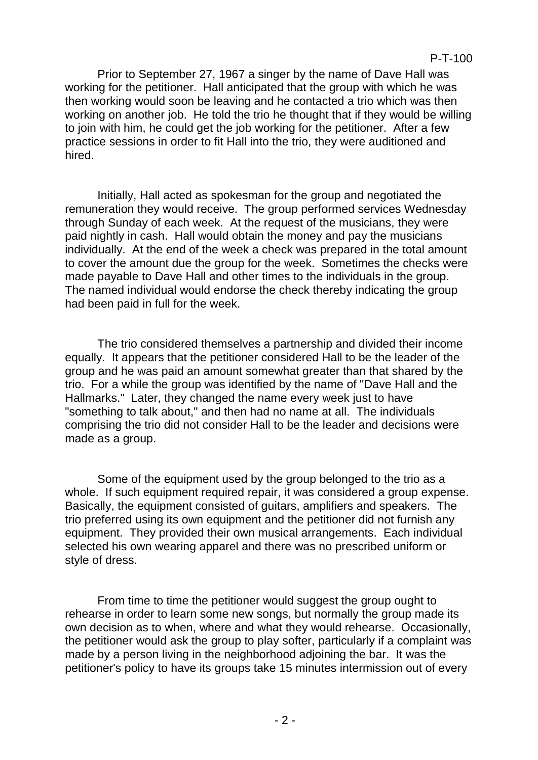Prior to September 27, 1967 a singer by the name of Dave Hall was working for the petitioner. Hall anticipated that the group with which he was then working would soon be leaving and he contacted a trio which was then working on another job. He told the trio he thought that if they would be willing to join with him, he could get the job working for the petitioner. After a few practice sessions in order to fit Hall into the trio, they were auditioned and hired.

Initially, Hall acted as spokesman for the group and negotiated the remuneration they would receive. The group performed services Wednesday through Sunday of each week. At the request of the musicians, they were paid nightly in cash. Hall would obtain the money and pay the musicians individually. At the end of the week a check was prepared in the total amount to cover the amount due the group for the week. Sometimes the checks were made payable to Dave Hall and other times to the individuals in the group. The named individual would endorse the check thereby indicating the group had been paid in full for the week.

The trio considered themselves a partnership and divided their income equally. It appears that the petitioner considered Hall to be the leader of the group and he was paid an amount somewhat greater than that shared by the trio. For a while the group was identified by the name of "Dave Hall and the Hallmarks." Later, they changed the name every week just to have "something to talk about," and then had no name at all. The individuals comprising the trio did not consider Hall to be the leader and decisions were made as a group.

Some of the equipment used by the group belonged to the trio as a whole. If such equipment required repair, it was considered a group expense. Basically, the equipment consisted of guitars, amplifiers and speakers. The trio preferred using its own equipment and the petitioner did not furnish any equipment. They provided their own musical arrangements. Each individual selected his own wearing apparel and there was no prescribed uniform or style of dress.

From time to time the petitioner would suggest the group ought to rehearse in order to learn some new songs, but normally the group made its own decision as to when, where and what they would rehearse. Occasionally, the petitioner would ask the group to play softer, particularly if a complaint was made by a person living in the neighborhood adjoining the bar. It was the petitioner's policy to have its groups take 15 minutes intermission out of every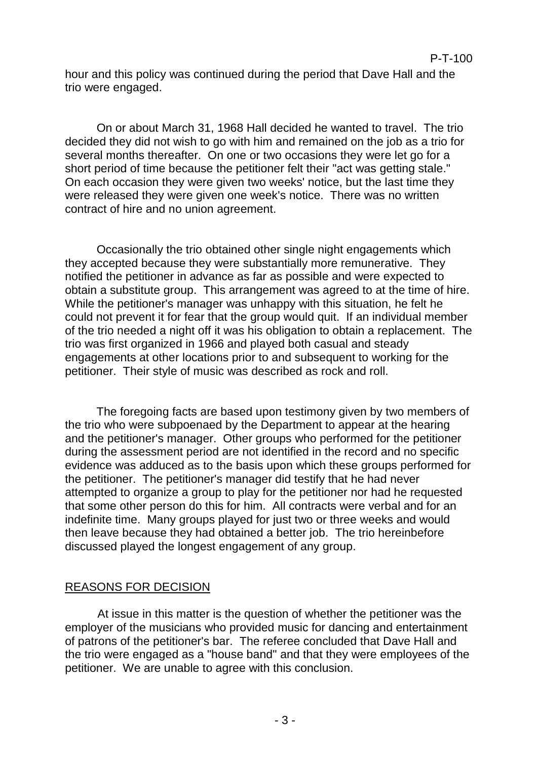hour and this policy was continued during the period that Dave Hall and the trio were engaged.

On or about March 31, 1968 Hall decided he wanted to travel. The trio decided they did not wish to go with him and remained on the job as a trio for several months thereafter. On one or two occasions they were let go for a short period of time because the petitioner felt their "act was getting stale." On each occasion they were given two weeks' notice, but the last time they were released they were given one week's notice. There was no written contract of hire and no union agreement.

Occasionally the trio obtained other single night engagements which they accepted because they were substantially more remunerative. They notified the petitioner in advance as far as possible and were expected to obtain a substitute group. This arrangement was agreed to at the time of hire. While the petitioner's manager was unhappy with this situation, he felt he could not prevent it for fear that the group would quit. If an individual member of the trio needed a night off it was his obligation to obtain a replacement. The trio was first organized in 1966 and played both casual and steady engagements at other locations prior to and subsequent to working for the petitioner. Their style of music was described as rock and roll.

The foregoing facts are based upon testimony given by two members of the trio who were subpoenaed by the Department to appear at the hearing and the petitioner's manager. Other groups who performed for the petitioner during the assessment period are not identified in the record and no specific evidence was adduced as to the basis upon which these groups performed for the petitioner. The petitioner's manager did testify that he had never attempted to organize a group to play for the petitioner nor had he requested that some other person do this for him. All contracts were verbal and for an indefinite time. Many groups played for just two or three weeks and would then leave because they had obtained a better job. The trio hereinbefore discussed played the longest engagement of any group.

### REASONS FOR DECISION

At issue in this matter is the question of whether the petitioner was the employer of the musicians who provided music for dancing and entertainment of patrons of the petitioner's bar. The referee concluded that Dave Hall and the trio were engaged as a "house band" and that they were employees of the petitioner. We are unable to agree with this conclusion.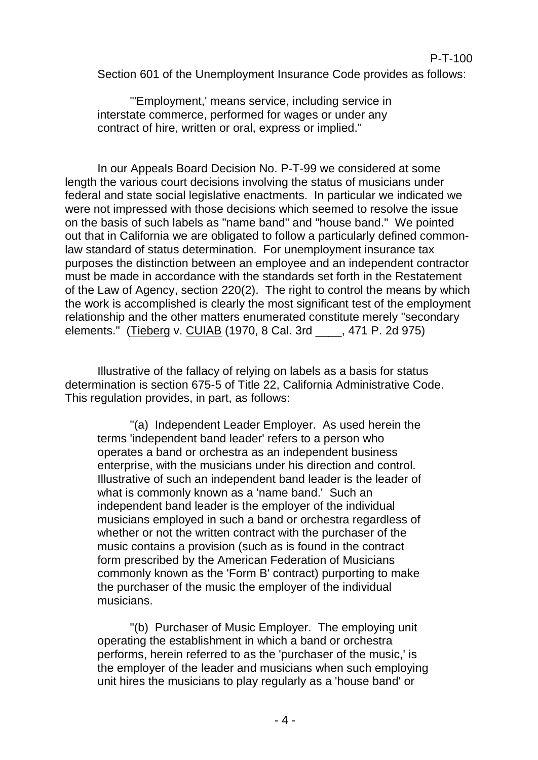### P-T-100

Section 601 of the Unemployment Insurance Code provides as follows:

"'Employment,' means service, including service in interstate commerce, performed for wages or under any contract of hire, written or oral, express or implied."

In our Appeals Board Decision No. P-T-99 we considered at some length the various court decisions involving the status of musicians under federal and state social legislative enactments. In particular we indicated we were not impressed with those decisions which seemed to resolve the issue on the basis of such labels as "name band" and "house band." We pointed out that in California we are obligated to follow a particularly defined commonlaw standard of status determination. For unemployment insurance tax purposes the distinction between an employee and an independent contractor must be made in accordance with the standards set forth in the Restatement of the Law of Agency, section 220(2). The right to control the means by which the work is accomplished is clearly the most significant test of the employment relationship and the other matters enumerated constitute merely "secondary elements." (Tieberg v. CUIAB (1970, 8 Cal. 3rd \_\_\_\_, 471 P. 2d 975)

Illustrative of the fallacy of relying on labels as a basis for status determination is section 675-5 of Title 22, California Administrative Code. This regulation provides, in part, as follows:

"(a) Independent Leader Employer. As used herein the terms 'independent band leader' refers to a person who operates a band or orchestra as an independent business enterprise, with the musicians under his direction and control. Illustrative of such an independent band leader is the leader of what is commonly known as a 'name band.' Such an independent band leader is the employer of the individual musicians employed in such a band or orchestra regardless of whether or not the written contract with the purchaser of the music contains a provision (such as is found in the contract form prescribed by the American Federation of Musicians commonly known as the 'Form B' contract) purporting to make the purchaser of the music the employer of the individual musicians.

"(b) Purchaser of Music Employer. The employing unit operating the establishment in which a band or orchestra performs, herein referred to as the 'purchaser of the music,' is the employer of the leader and musicians when such employing unit hires the musicians to play regularly as a 'house band' or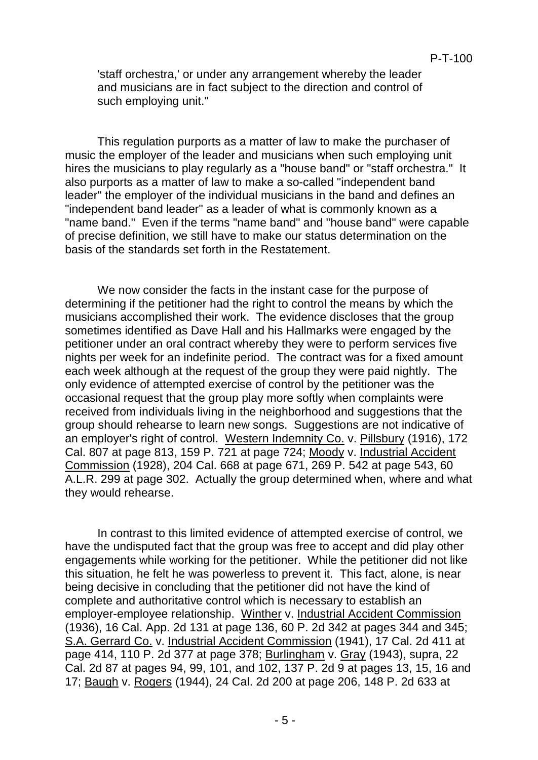'staff orchestra,' or under any arrangement whereby the leader and musicians are in fact subject to the direction and control of such employing unit."

This regulation purports as a matter of law to make the purchaser of music the employer of the leader and musicians when such employing unit hires the musicians to play regularly as a "house band" or "staff orchestra." It also purports as a matter of law to make a so-called "independent band leader" the employer of the individual musicians in the band and defines an "independent band leader" as a leader of what is commonly known as a "name band." Even if the terms "name band" and "house band" were capable of precise definition, we still have to make our status determination on the basis of the standards set forth in the Restatement.

We now consider the facts in the instant case for the purpose of determining if the petitioner had the right to control the means by which the musicians accomplished their work. The evidence discloses that the group sometimes identified as Dave Hall and his Hallmarks were engaged by the petitioner under an oral contract whereby they were to perform services five nights per week for an indefinite period. The contract was for a fixed amount each week although at the request of the group they were paid nightly. The only evidence of attempted exercise of control by the petitioner was the occasional request that the group play more softly when complaints were received from individuals living in the neighborhood and suggestions that the group should rehearse to learn new songs. Suggestions are not indicative of an employer's right of control. Western Indemnity Co. v. Pillsbury (1916), 172 Cal. 807 at page 813, 159 P. 721 at page 724; Moody v. Industrial Accident Commission (1928), 204 Cal. 668 at page 671, 269 P. 542 at page 543, 60 A.L.R. 299 at page 302. Actually the group determined when, where and what they would rehearse.

In contrast to this limited evidence of attempted exercise of control, we have the undisputed fact that the group was free to accept and did play other engagements while working for the petitioner. While the petitioner did not like this situation, he felt he was powerless to prevent it. This fact, alone, is near being decisive in concluding that the petitioner did not have the kind of complete and authoritative control which is necessary to establish an employer-employee relationship. Winther v. Industrial Accident Commission (1936), 16 Cal. App. 2d 131 at page 136, 60 P. 2d 342 at pages 344 and 345; S.A. Gerrard Co. v. Industrial Accident Commission (1941), 17 Cal. 2d 411 at page 414, 110 P. 2d 377 at page 378; Burlingham v. Gray (1943), supra, 22 Cal. 2d 87 at pages 94, 99, 101, and 102, 137 P. 2d 9 at pages 13, 15, 16 and 17; Baugh v. Rogers (1944), 24 Cal. 2d 200 at page 206, 148 P. 2d 633 at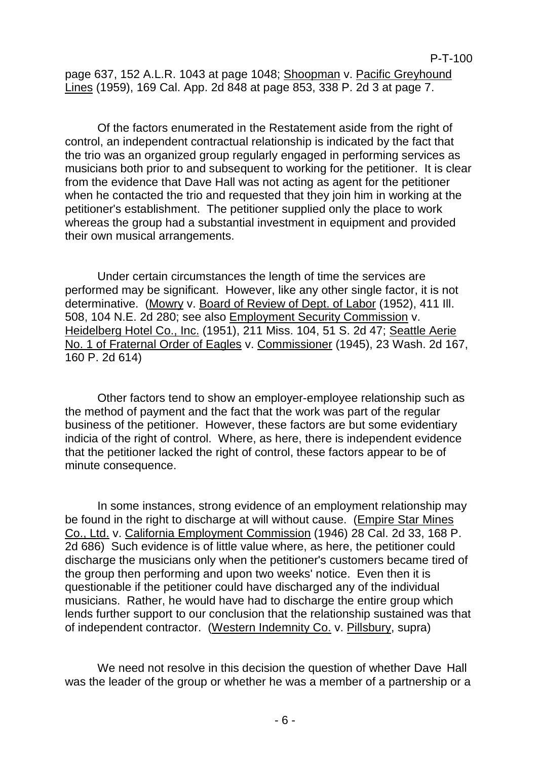page 637, 152 A.L.R. 1043 at page 1048; Shoopman v. Pacific Greyhound Lines (1959), 169 Cal. App. 2d 848 at page 853, 338 P. 2d 3 at page 7.

Of the factors enumerated in the Restatement aside from the right of control, an independent contractual relationship is indicated by the fact that the trio was an organized group regularly engaged in performing services as musicians both prior to and subsequent to working for the petitioner. It is clear from the evidence that Dave Hall was not acting as agent for the petitioner when he contacted the trio and requested that they join him in working at the petitioner's establishment. The petitioner supplied only the place to work whereas the group had a substantial investment in equipment and provided their own musical arrangements.

Under certain circumstances the length of time the services are performed may be significant. However, like any other single factor, it is not determinative. (Mowry v. Board of Review of Dept. of Labor (1952), 411 Ill. 508, 104 N.E. 2d 280; see also Employment Security Commission v. Heidelberg Hotel Co., Inc. (1951), 211 Miss. 104, 51 S. 2d 47; Seattle Aerie No. 1 of Fraternal Order of Eagles v. Commissioner (1945), 23 Wash. 2d 167, 160 P. 2d 614)

Other factors tend to show an employer-employee relationship such as the method of payment and the fact that the work was part of the regular business of the petitioner. However, these factors are but some evidentiary indicia of the right of control. Where, as here, there is independent evidence that the petitioner lacked the right of control, these factors appear to be of minute consequence.

In some instances, strong evidence of an employment relationship may be found in the right to discharge at will without cause. (Empire Star Mines Co., Ltd. v. California Employment Commission (1946) 28 Cal. 2d 33, 168 P. 2d 686) Such evidence is of little value where, as here, the petitioner could discharge the musicians only when the petitioner's customers became tired of the group then performing and upon two weeks' notice. Even then it is questionable if the petitioner could have discharged any of the individual musicians. Rather, he would have had to discharge the entire group which lends further support to our conclusion that the relationship sustained was that of independent contractor. (Western Indemnity Co. v. Pillsbury, supra)

We need not resolve in this decision the question of whether Dave Hall was the leader of the group or whether he was a member of a partnership or a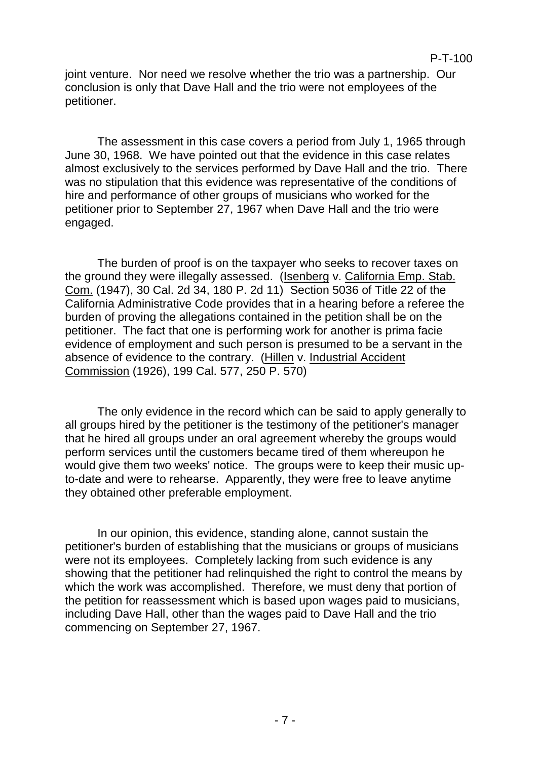joint venture. Nor need we resolve whether the trio was a partnership. Our conclusion is only that Dave Hall and the trio were not employees of the petitioner.

The assessment in this case covers a period from July 1, 1965 through June 30, 1968. We have pointed out that the evidence in this case relates almost exclusively to the services performed by Dave Hall and the trio. There was no stipulation that this evidence was representative of the conditions of hire and performance of other groups of musicians who worked for the petitioner prior to September 27, 1967 when Dave Hall and the trio were engaged.

The burden of proof is on the taxpayer who seeks to recover taxes on the ground they were illegally assessed. (Isenberg v. California Emp. Stab. Com. (1947), 30 Cal. 2d 34, 180 P. 2d 11) Section 5036 of Title 22 of the California Administrative Code provides that in a hearing before a referee the burden of proving the allegations contained in the petition shall be on the petitioner. The fact that one is performing work for another is prima facie evidence of employment and such person is presumed to be a servant in the absence of evidence to the contrary. (Hillen v. Industrial Accident Commission (1926), 199 Cal. 577, 250 P. 570)

The only evidence in the record which can be said to apply generally to all groups hired by the petitioner is the testimony of the petitioner's manager that he hired all groups under an oral agreement whereby the groups would perform services until the customers became tired of them whereupon he would give them two weeks' notice. The groups were to keep their music upto-date and were to rehearse. Apparently, they were free to leave anytime they obtained other preferable employment.

In our opinion, this evidence, standing alone, cannot sustain the petitioner's burden of establishing that the musicians or groups of musicians were not its employees. Completely lacking from such evidence is any showing that the petitioner had relinquished the right to control the means by which the work was accomplished. Therefore, we must deny that portion of the petition for reassessment which is based upon wages paid to musicians, including Dave Hall, other than the wages paid to Dave Hall and the trio commencing on September 27, 1967.